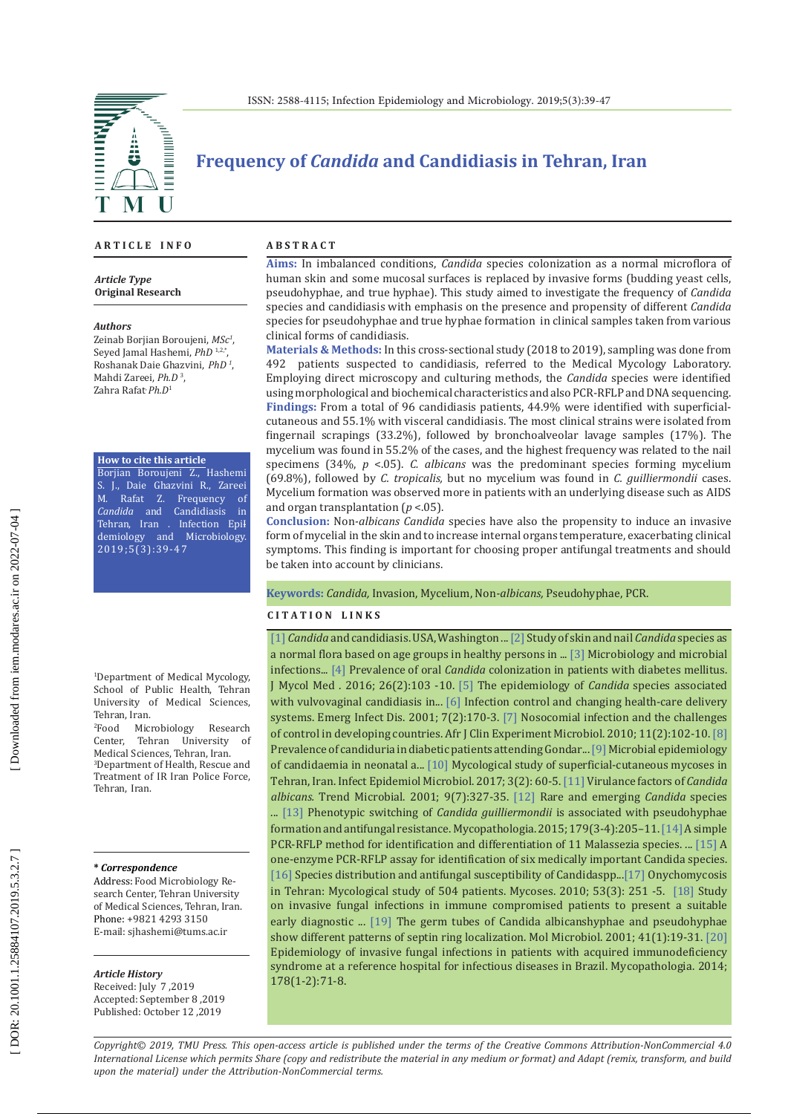

# **Frequency of** *Candida* **and Candidiasis in Tehran, Iran**

**A R T I C L E I N F O**

*Article Type* **Original Research**

#### *Authors*

Zeinab Borjian Boroujeni, *MSc 1* , Seyed Jamal Hashemi, *PhD* 1,2,\*, Roshanak Daie Ghazvini, *PhD 1* , Mahdi Zareei, *Ph.D*  3 , Zahra Rafat, *Ph.D* 1

**How to cite this article**

Borjian Boroujeni Z., Hashemi S. J., Daie Ghazvini R., Zareei M. Rafat Z. Frequency of *Candida* and Candidiasis in Tehran, Iran . Infection Epi<del>l</del> demiology and Microbiology. 2019;5(3):39-47

1 Department of Medical Mycology, School of Public Health, Tehran University of Medical Sciences, Tehran, Iran.<br><sup>2</sup>Food Mic

<sup>2</sup>Food Microbiology Research<br>Center, Tehran University of Center, Tehran University of<br>Medical Sciences, Tehran, Iran. Medical Sciences, Tehran, Iran.<br><sup>3</sup>Department of Health, Rescue and Treatment of IR Iran Police Force, Tehran, Iran.

#### **\*** *Correspondence*

Address: Food Microbiology Re search Center, Tehran University of Medical Sciences, Tehran, Iran. Phone: +9821 4293 3150 E-mail: sjhashemi@tums.ac.ir

#### *Article History*

Received: July 7 ,2019 Accepted: September 8 ,2019 Published: October 12 ,2019

#### **A B S T R A C T**

**Aims:** In imbalanced conditions, *Candida* species colonization as a normal microflora of human skin and some mucosal surfaces is replaced by invasive forms (budding yeast cells, pseudohyphae, and true hyphae). This study aimed to investigate the frequency of *Candida* species and candidiasis with emphasis on the presence and propensity of different *Candida*  species for pseudohyphae and true hyphae formation in clinical samples taken from various clinical forms of candidiasis.

**Materials & Methods:** In this cross-sectional study (2018 to 2019), sampling was done from 492 patients suspected to candidiasis, referred to the Medical Mycology Laboratory. patients suspected to candidiasis, referred to the Medical Mycology Laboratory. Employing direct microscopy and culturing methods, the *Candida* species were identified using morphological and biochemical characteristics and also PCR-RFLP and DNA sequencing. **Findings:** From a total of 96 candidiasis patients, 44.9% were identified with superficialcutaneous and 55.1% with visceral candidiasis. The most clinical strains were isolated from fingernail scrapings (33.2%), followed by bronchoalveolar lavage samples (17%). The mycelium was found in 55.2% of the cases, and the highest frequency was related to the nail specimens (34%, *p* <.05). *C. albicans* was the predominant species forming mycelium (69.8%), followed by *C. tropicalis,* but no mycelium was found in *C. guilliermondii* cases. Mycelium formation was observed more in patients with an underlying disease such as AIDS and organ transplantation ( *p* <.05).

**Conclusion:** Non*-albicans Candida* species have also the propensity to induce an invasive form of mycelial in the skin and to increase internal organs temperature, exacerbating clinical symptoms. This finding is important for choosing proper antifungal treatments and should be taken into account by clinicians.

#### **Keywords:** *Candida,* Invasion, Mycelium, Non*-albicans,* Pseudohyphae, PCR.

#### **C I T A T I O N L I N K S**

[\[1\]](https://www.ncbi.nlm.nih.gov/pmc/articles/PMC2732517/) *Candida* and candidiasis. USA, Washington ..[.\[2\]](https://www.ncbi.nlm.nih.gov/pubmed/28967539) Study of skin and nail *Candida* species as a normal flora based on age groups in healthy persons in ... [\[3\]](https://www.amazon.com/Topley-Wilson-Microbiology-Microbial-Infection/dp/0340809124) Microbiology and microbial infections... [\[4\]](https://www.ncbi.nlm.nih.gov/pubmed/26879707) Prevalence of oral *Candida* colonization in patients with diabetes mellitus. J Mycol Med . 2016; 26(2):103 -10. [\[5\]](https://www.ncbi.nlm.nih.gov/pubmed/21194828) The epidemiology of *Candida* species associated with vulvovaginal candidiasis in... [\[6\]](https://www.ncbi.nlm.nih.gov/pmc/articles/PMC2631740/) Infection control and changing health-care delivery systems. Emerg Infect Dis. 2001; 7(2):170-3. [\[7\]](https://www.ajol.info/index.php/ajcem/article/view/53916) Nosocomial infection and the challenges of control in developing countries. Afr J Clin Experiment Microbiol. 2010; 11(2):102-10. [\[8\]](https://www.ncbi.nlm.nih.gov/pubmed/23485533)  Prevalence of candiduria in diabetic patients attending Gondar... [\[9\] M](https://www.ncbi.nlm.nih.gov/pubmed/28872714)icrobial epidemiology of candidaemia in neonatal a... [\[10\]](http://iem.modares.ac.ir/article-4-4383-en.pdf) Mycological study of superficial-cutaneous mycoses in Tehran, Iran. Infect Epidemiol Microbiol. 2017; 3(2): 60-5. [\[11\]](https://www.ncbi.nlm.nih.gov/pubmed/11435107) Virulance factors of *Candida albicans.* Trend Microbial. 2001; 9(7):327-35. [\[12\]](https://link.springer.com/article/10.1007/s12281-009-0020-z) Rare and emerging *Candida* species ... [\[13\]](https://www.ncbi.nlm.nih.gov/pubmed/25481846) Phenotypic switching of *Candida guilliermondii* is associated with pseudohyphae formation and antifungal resistance. Mycopathologia. 2015; 179(3-4):205–11. [\[14\]](https://www.ncbi.nlm.nih.gov/pubmed/15722156)A simple PCR-RFLP method for identification and differentiation of 11 Malassezia species. ... [\[15\]](https://www.ncbi.nlm.nih.gov/pubmed/16940958) A one-enzyme PCR-RFLP assay for identification of six medically important Candida species. [\[16\]](https://www.ncbi.nlm.nih.gov/pubmed/24767256) Species distribution and antifungal susceptibility of Candidaspp...[\[17\]](https://www.ncbi.nlm.nih.gov/pubmed/19389065) Onychomycosis in Tehran: Mycological study of 504 patients. Mycoses. 2010; 53(3): 251 -5. [\[18\]](https://www.ncbi.nlm.nih.gov/pubmed/18672389) Study on invasive fungal infections in immune compromised patients to present a suitable early diagnostic ... [\[19\]](https://www.ncbi.nlm.nih.gov/pubmed/11454197) The germ tubes of Candida albicanshyphae and pseudohyphae show different patterns of septin ring localization. Mol Microbiol. 2001; 41(1):19-31. [\[20\]](https://www.researchgate.net/publication/263369110_Epidemiology_of_Invasive_Fungal_Infections_in_Patients_with_Acquired_Immunodeficiency_Syndrome_at_a_Reference_Hospital_for_Infectious_Diseases_in_Brazil)  Epidemiology of invasive fungal infections in patients with acquired immunodeficiency syndrome at a reference hospital for infectious diseases in Brazil. Mycopathologia. 2014; 178(1-2):71-8.

*Copyright© 2019, TMU Press. This open-access article is published under the terms of the Creative Commons Attribution-NonCommercial 4.0 International License which permits Share (copy and redistribute the material in any medium or format) and Adapt (remix, transform, and build upon the material) under the Attribution-NonCommercial terms.*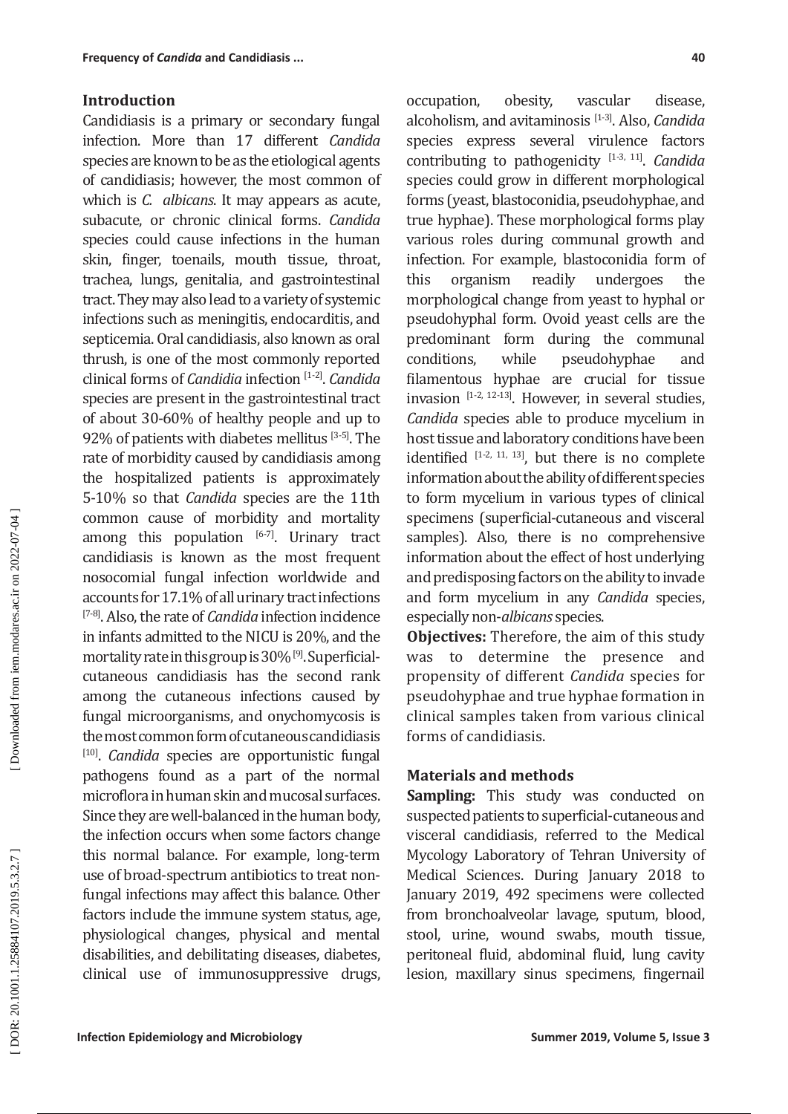### **Introduction**

Candidiasis is a primary or secondary fungal infection. More than 17 different *Candida*  species are known to be as the etiological agents of candidiasis; however, the most common of which is *C. albicans*. It may appears as acute, subacute, or chronic clinical forms. *Candida*  species could cause infections in the human skin, finger, toenails, mouth tissue, throat, trachea, lungs, genitalia, and gastrointestinal tract. They may also lead to a variety of systemic infections such as meningitis, endocarditis, and septicemia. Oral candidiasis, also known as oral thrush, is one of the most commonly reported clinical forms of *Candidia* infection [1-2]. *Candida*  species are present in the gastrointestinal tract of about 30-60% of healthy people and up to 92% of patients with diabetes mellitus [3-5]. The rate of morbidity caused by candidiasis among the hospitalized patients is approximately 5-10% so that *Candida* species are the 11th common cause of morbidity and mortality among this population  $[6-7]$ . Urinary tract candidiasis is known as the most frequent nosocomial fungal infection worldwide and accounts for 17.1% of all urinary tract infections [7-8]. Also, the rate of *Candida* infection incidence in infants admitted to the NICU is 20%, and the mortality rate in this group is 30% [9]. Superficialcutaneous candidiasis has the second rank among the cutaneous infections caused by fungal microorganisms, and onychomycosis is the most common form of cutaneous candidiasis [10] . *Candida* species are opportunistic fungal pathogens found as a part of the normal microflora in human skin and mucosal surfaces. Since they are well-balanced in the human body, the infection occurs when some factors change this normal balance. For example, long-term use of broad-spectrum antibiotics to treat nonfungal infections may affect this balance. Other factors include the immune system status, age, physiological changes, physical and mental disabilities, and debilitating diseases, diabetes, clinical use of immunosuppressive drugs,

occupation, obesity, vascular disease, alcoholism, and avitaminosis [1-3]. Also, *Candida*  species express several virulence factors contributing to pathogenicity [1-3, 11]. *Candida*  species could grow in different morphological forms (yeast, blastoconidia, pseudohyphae, and true hyphae). These morphological forms play various roles during communal growth and infection. For example, blastoconidia form of<br>this organism readily undergoes the organism readily undergoes the morphological change from yeast to hyphal or pseudohyphal form. Ovoid yeast cells are the predominant form during the communal<br>conditions. while pseudohyphae and conditions, while pseudohyphae and filamentous hyphae are crucial for tissue invasion  $[1-2, 12-13]$ . However, in several studies, *Candida* species able to produce mycelium in host tissue and laboratory conditions have been identified  $[1-2, 11, 13]$ , but there is no complete information about the ability of different species to form mycelium in various types of clinical specimens (superficial-cutaneous and visceral samples). Also, there is no comprehensive information about the effect of host underlying and predisposing factors on the ability to invade and form mycelium in any *Candida* species, especially non-*albicans* species.

**Objectives:** Therefore, the aim of this study was to determine the presence and propensity of different *Candida* species for pseudohyphae and true hyphae formation in clinical samples taken from various clinical forms of candidiasis.

### **Materials and methods**

**Sampling:** This study was conducted on suspected patients to superficial-cutaneous and visceral candidiasis, referred to the Medical Mycology Laboratory of Tehran University of Medical Sciences. During January 2018 to January 2019, 492 specimens were collected from bronchoalveolar lavage, sputum, blood, stool, urine, wound swabs, mouth tissue, peritoneal fluid, abdominal fluid, lung cavity lesion, maxillary sinus specimens, fingernail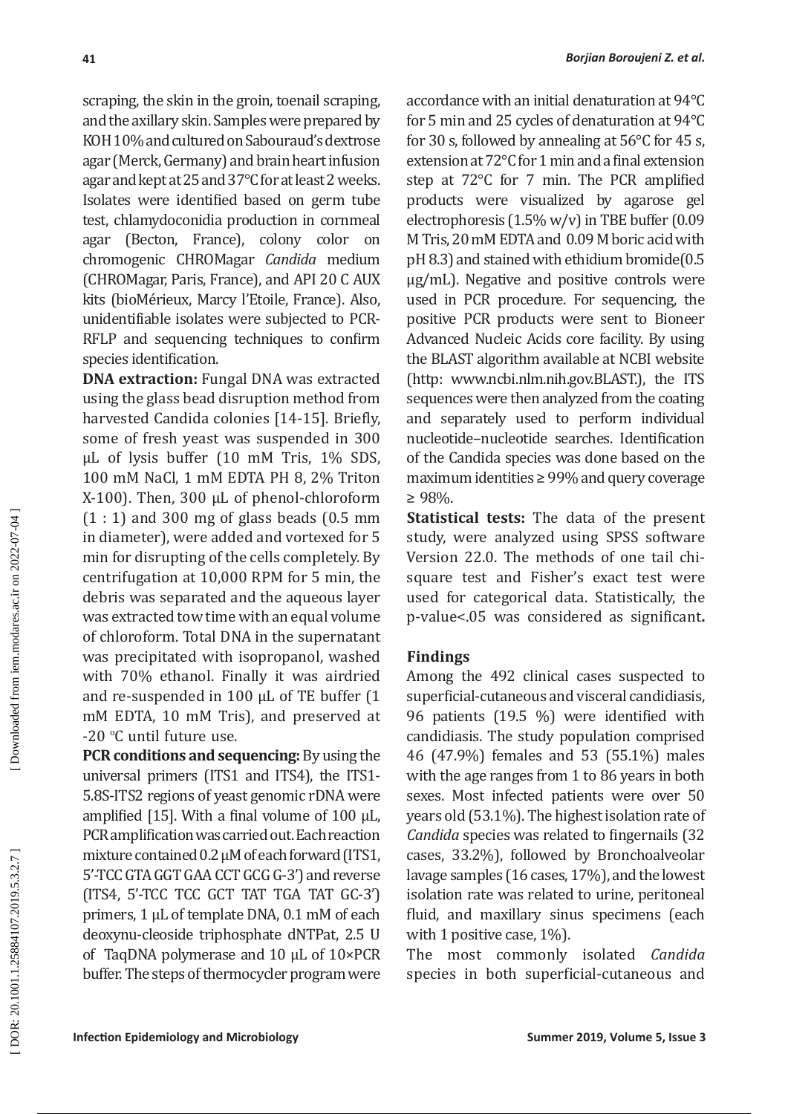scraping, the skin in the groin, toenail scraping, and the axillary skin. Samples were prepared by KOH 10% and cultured on Sabouraud's dextrose agar (Merck, Germany) and brain heart infusion agar and kept at 25 and 37°C for at least 2 weeks. Isolates were identified based on germ tube test, chlamydoconidia production in cornmeal agar (Becton, France), colony color on chromogenic CHROMagar *Candida* medium (CHROMagar, Paris, France), and API 20 C AUX kits (bioMérieux, Marcy l'Etoile, France). Also, unidentifiable isolates were subjected to PCR-RFLP and sequencing techniques to confirm species identification.

**DNA extraction:** Fungal DNA was extracted using the glass bead disruption method from harvested Candida colonies [14-15]. Briefly, some of fresh yeast was suspended in 300 μL of lysis buffer (10 mM Tris, 1% SDS, 100 mM NaCl, 1 mM EDTA PH 8, 2% Triton X-100). Then, 300 µL of phenol-chloroform  $(1:1)$  and 300 mg of glass beads  $(0.5)$  mm in diameter), were added and vortexed for 5 min for disrupting of the cells completely. By centrifugation at 10,000 RPM for 5 min, the debris was separated and the aqueous layer was extracted tow time with an equal volume of chloroform. Total DNA in the supernatant was precipitated with isopropanol, washed with 70% ethanol. Finally it was airdried and re-suspended in 100 μL of TE buffer (1 mM EDTA, 10 mM Tris), and preserved at -20 °C until future use.

**PCR conditions and sequencing:** By using the universal primers (ITS1 and ITS4), the ITS1- 5.8S-ITS2 regions of yeast genomic rDNA were amplified [15]. With a final volume of 100 μL, PCR amplification was carried out. Each reaction mixture contained 0.2 μM of each forward (ITS1, 5'-TCC GTA GGT GAA CCT GCG G-3') and reverse (ITS4, 5'-TCC TCC GCT TAT TGA TAT GC-3') primers, 1 μL of template DNA, 0.1 mM of each deoxynu-cleoside triphosphate dNTPat, 2.5 U of TaqDNA polymerase and 10 μL of 10×PCR buffer. The steps of thermocycler program were accordance with an initial denaturation at 94°C for 5 min and 25 cycles of denaturation at 94°C for 30 s, followed by annealing at 56°C for 45 s, extension at 72°C for 1 min and a final extension step at 72°C for 7 min. The PCR amplified products were visualized by agarose gel electrophoresis (1.5% w/v) in TBE buffer (0.09 M Tris, 20 mM EDTA and 0.09 M boric acid with pH 8.3) and stained with ethidium bromide(0.5 μg/mL). Negative and positive controls were used in PCR procedure. For sequencing, the positive PCR products were sent to Bioneer Advanced Nucleic Acids core facility. By using the BLAST algorithm available at NCBI website (http: www.ncbi.nlm.nih.gov.BLAST.), the ITS sequences were then analyzed from the coating and separately used to perform individual nucleotide–nucleotide searches. Identification of the Candida species was done based on the maximum identities ≥ 99% and query coverage ≥ 98%.

**Statistical tests:** The data of the present study, were analyzed using SPSS software Version 22.0. The methods of one tail chisquare test and Fisher's exact test were used for categorical data. Statistically, the p-value<.05 was considered as significant **.**

### **Findings**

Among the 492 clinical cases suspected to superficial-cutaneous and visceral candidiasis, 96 patients (19.5 %) were identified with candidiasis. The study population comprised 46 (47.9%) females and 53 (55.1%) males with the age ranges from 1 to 86 years in both sexes. Most infected patients were over 50 years old (53.1%). The highest isolation rate of *Candida* species was related to fingernails (32 cases, 33.2%), followed by Bronchoalveolar lavage samples (16 cases, 17%), and the lowest isolation rate was related to urine, peritoneal fluid, and maxillary sinus specimens (each with 1 positive case, 1%).

The most commonly isolated *Candida*  species in both superficial-cutaneous and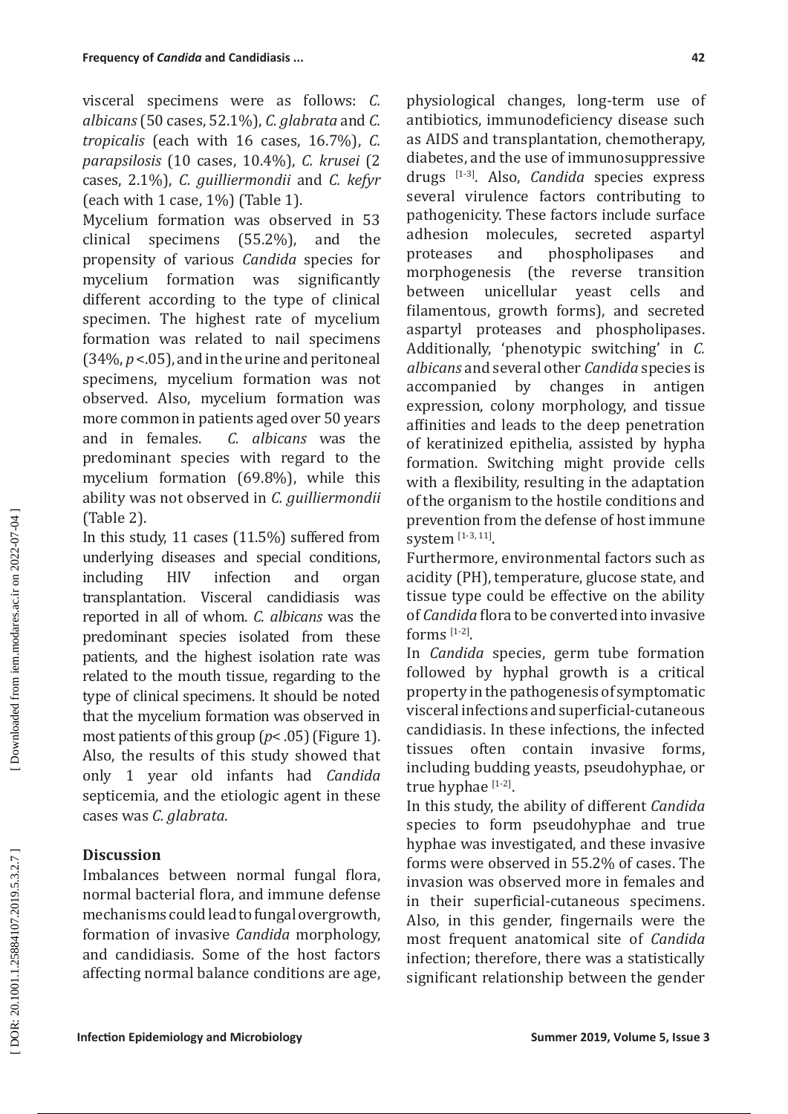visceral specimens were as follows: *C. albicans* (50 cases, 52.1%), *C. glabrata* and *C. tropicalis* (each with 16 cases, 16.7%), *C. parapsilosis* (10 cases, 10.4%), *C. krusei* (2 cases, 2.1%), *C. guilliermondii* and *C. kefyr*  (each with 1 case, 1%) (Table 1).

Mycelium formation was observed in 53<br>clinical specimens (55.2%), and the specimens  $(55.2%)$ , and the propensity of various *Candida* species for mycelium formation was significantly different according to the type of clinical specimen. The highest rate of mycelium formation was related to nail specimens (34%, *p* <.05), and in the urine and peritoneal specimens, mycelium formation was not observed. Also, mycelium formation was more common in patients aged over 50 years and in females. *C. albicans* was the predominant species with regard to the mycelium formation (69.8%), while this ability was not observed in *C. guilliermondii*  (Table 2).

In this study, 11 cases (11.5%) suffered from underlying diseases and special conditions,<br>including HIV infection and organ including HIV infection and organ transplantation. Visceral candidiasis was reported in all of whom. *C. albicans* was the predominant species isolated from these patients, and the highest isolation rate was related to the mouth tissue, regarding to the type of clinical specimens. It should be noted that the mycelium formation was observed in most patients of this group ( *p*< .05) (Figure 1). Also, the results of this study showed that only 1 year old infants had *Candida*  septicemia, and the etiologic agent in these cases was *C. glabrata* .

# **Discussion**

Imbalances between normal fungal flora, normal bacterial flora, and immune defense mechanisms could lead to fungal overgrowth, formation of invasive *Candida* morphology, and candidiasis. Some of the host factors affecting normal balance conditions are age, physiological changes, long-term use of antibiotics, immunodeficiency disease such as AIDS and transplantation, chemotherapy, diabetes, and the use of immunosuppressive drugs [1-3]. Also, *Candida* species express several virulence factors contributing to pathogenicity. These factors include surface<br>adhesion molecules, secreted aspartyl adhesion molecules, secreted aspartyl<br>proteases and phospholipases and phospholipases and<br>e reverse transition morphogenesis (the reverse transition<br>between unicellular veast cells and yeast cells filamentous, growth forms), and secreted aspartyl proteases and phospholipases. Additionally, 'phenotypic switching' in *C. albicans* and several other *Candida* species is changes in antigen expression, colony morphology, and tissue affinities and leads to the deep penetration of keratinized epithelia, assisted by hypha formation. Switching might provide cells with a flexibility, resulting in the adaptation of the organism to the hostile conditions and prevention from the defense of host immune system [1-3, 11].

Furthermore, environmental factors such as acidity (PH), temperature, glucose state, and tissue type could be effective on the ability of *Candida* flora to be converted into invasive forms  $[1-2]$ .

In *Candida* species, germ tube formation followed by hyphal growth is a critical property in the pathogenesis of symptomatic visceral infections and superficial-cutaneous candidiasis. In these infections, the infected tissues often contain invasive forms, including budding yeasts, pseudohyphae, or true hyphae [1-2].

In this study, the ability of different *Candida*  species to form pseudohyphae and true hyphae was investigated, and these invasive forms were observed in 55.2% of cases. The invasion was observed more in females and in their superficial-cutaneous specimens. Also, in this gender, fingernails were the most frequent anatomical site of *Candida*  infection; therefore, there was a statistically significant relationship between the gender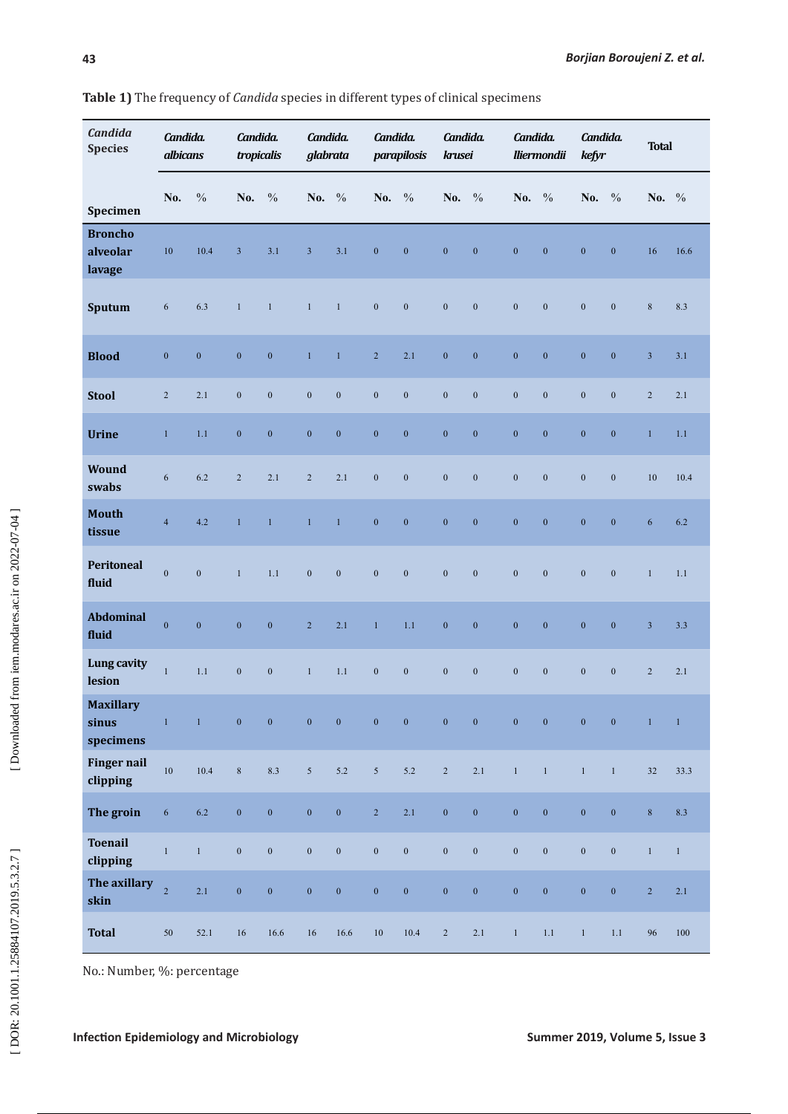| <b>Candida</b><br><b>Species</b>       | Candida.<br>albicans |                  | Candida.<br>tropicalis |                  | Candida.<br>glabrata |                  | Candida.<br>parapilosis |                  | Candida.<br>krusei |                  | Candida.<br><b>lliermondii</b> |                  | Candida.<br>kefyr |                  | <b>Total</b>   |                |
|----------------------------------------|----------------------|------------------|------------------------|------------------|----------------------|------------------|-------------------------|------------------|--------------------|------------------|--------------------------------|------------------|-------------------|------------------|----------------|----------------|
| Specimen                               | No.                  | $\frac{0}{0}$    | No.                    | $\frac{0}{0}$    | No.                  | $\frac{0}{0}$    | No.                     | $\frac{0}{0}$    | No.                | $\frac{0}{0}$    | No. %                          |                  | No.               | $\frac{0}{0}$    | No. %          |                |
| <b>Broncho</b><br>alveolar<br>lavage   | 10                   | 10.4             | $\overline{3}$         | 3.1              | $\mathfrak{Z}$       | 3.1              | $\boldsymbol{0}$        | $\boldsymbol{0}$ | $\boldsymbol{0}$   | $\boldsymbol{0}$ | $\boldsymbol{0}$               | $\boldsymbol{0}$ | $\boldsymbol{0}$  | $\mathbf{0}$     | 16             | 16.6           |
| Sputum                                 | $\sqrt{6}$           | 6.3              | $\mathbf{1}$           | $\mathbf{1}$     | $\mathbf{1}$         | $\mathbf{1}$     | $\boldsymbol{0}$        | $\boldsymbol{0}$ | $\boldsymbol{0}$   | $\mathbf{0}$     | $\boldsymbol{0}$               | $\mathbf{0}$     | $\mathbf{0}$      | $\mathbf{0}$     | $\,8\,$        | 8.3            |
| <b>Blood</b>                           | $\boldsymbol{0}$     | $\boldsymbol{0}$ | $\boldsymbol{0}$       | $\boldsymbol{0}$ | $\mathbf{1}$         | $\mathbf{1}$     | $\overline{2}$          | 2.1              | $\boldsymbol{0}$   | $\boldsymbol{0}$ | $\boldsymbol{0}$               | $\boldsymbol{0}$ | $\boldsymbol{0}$  | $\mathbf{0}$     | $\overline{3}$ | 3.1            |
| <b>Stool</b>                           | $\sqrt{2}$           | 2.1              | $\boldsymbol{0}$       | $\boldsymbol{0}$ | $\boldsymbol{0}$     | $\boldsymbol{0}$ | $\boldsymbol{0}$        | $\boldsymbol{0}$ | $\boldsymbol{0}$   | $\boldsymbol{0}$ | $\boldsymbol{0}$               | $\boldsymbol{0}$ | $\boldsymbol{0}$  | $\boldsymbol{0}$ | $\overline{2}$ | 2.1            |
| <b>Urine</b>                           | $\mathbf{1}$         | 1.1              | $\boldsymbol{0}$       | $\boldsymbol{0}$ | $\boldsymbol{0}$     | $\boldsymbol{0}$ | $\boldsymbol{0}$        | $\boldsymbol{0}$ | $\boldsymbol{0}$   | $\boldsymbol{0}$ | $\boldsymbol{0}$               | $\boldsymbol{0}$ | $\boldsymbol{0}$  | $\mathbf{0}$     | $\mathbf{1}$   | 1.1            |
| Wound<br>swabs                         | $\sqrt{6}$           | 6.2              | $\overline{2}$         | 2.1              | $\overline{c}$       | 2.1              | $\mathbf{0}$            | $\mathbf{0}$     | $\mathbf{0}$       | $\mathbf{0}$     | $\mathbf{0}$                   | $\mathbf{0}$     | $\mathbf{0}$      | $\mathbf{0}$     | 10             | 10.4           |
| <b>Mouth</b><br>tissue                 | $\overline{4}$       | 4.2              | $\mathbf{1}$           | $\mathbf{1}$     | $\mathbf{1}$         | $\mathbf{1}$     | $\boldsymbol{0}$        | $\boldsymbol{0}$ | $\boldsymbol{0}$   | $\boldsymbol{0}$ | $\mathbf{0}$                   | $\mathbf{0}$     | $\mathbf{0}$      | $\mathbf{0}$     | 6              | 6.2            |
| Peritoneal<br>fluid                    | $\mathbf{0}$         | $\mathbf{0}$     | $\mathbf{1}$           | 1.1              | $\mathbf{0}$         | $\mathbf{0}$     | $\mathbf{0}$            | $\mathbf{0}$     | $\mathbf{0}$       | $\mathbf{0}$     | $\mathbf{0}$                   | $\mathbf{0}$     | $\mathbf{0}$      | $\mathbf{0}$     | $\mathbf{1}$   | 1.1            |
| <b>Abdominal</b><br>fluid              | $\mathbf{0}$         | $\mathbf{0}$     | $\boldsymbol{0}$       | $\boldsymbol{0}$ | $\overline{2}$       | 2.1              | $\mathbf 1$             | 1.1              | $\boldsymbol{0}$   | $\boldsymbol{0}$ | $\boldsymbol{0}$               | $\boldsymbol{0}$ | $\boldsymbol{0}$  | $\boldsymbol{0}$ | $\overline{3}$ | 3.3            |
| Lung cavity<br>lesion                  | $\mathbf{1}$         | 1.1              | $\boldsymbol{0}$       | $\boldsymbol{0}$ | $\mathbf{1}$         | 1.1              | $\boldsymbol{0}$        | $\boldsymbol{0}$ | $\boldsymbol{0}$   | $\boldsymbol{0}$ | $\boldsymbol{0}$               | $\boldsymbol{0}$ | $\boldsymbol{0}$  | $\boldsymbol{0}$ | $\sqrt{2}$     | 2.1            |
| <b>Maxillary</b><br>sinus<br>specimens | $\mathbf{1}$         | $\,1\,$          | $\boldsymbol{0}$       | $\boldsymbol{0}$ | $\overline{0}$       | $\boldsymbol{0}$ | $\boldsymbol{0}$        | $\boldsymbol{0}$ | $\boldsymbol{0}$   | $\boldsymbol{0}$ | $\boldsymbol{0}$               | $\pmb{0}$        | $\boldsymbol{0}$  | $\boldsymbol{0}$ | $\overline{1}$ | $\overline{1}$ |
| <b>Finger nail</b><br>clipping         | 10                   | 10.4             | $\,8\,$                | 8.3              | $\mathfrak{S}$       | $5.2$            | $\sqrt{5}$              | $5.2\,$          | $\sqrt{2}$         | $2.1\,$          | $\,1$                          | $\mathbf{1}$     | $\mathbf{1}$      | $\mathbf{1}$     | 32             | 33.3           |
| The groin                              | $\sqrt{6}$           | $6.2\,$          | $\boldsymbol{0}$       | $\boldsymbol{0}$ | $\boldsymbol{0}$     | $\boldsymbol{0}$ | $\overline{2}$          | 2.1              | $\boldsymbol{0}$   | $\boldsymbol{0}$ | $\boldsymbol{0}$               | $\mathbf{0}$     | $\mathbf{0}$      | $\boldsymbol{0}$ | $\,8\,$        | 8.3            |
| <b>Toenail</b><br>clipping             | $\mathbf{1}$         | $\mathbf{1}$     | $\boldsymbol{0}$       | $\boldsymbol{0}$ | $\boldsymbol{0}$     | $\boldsymbol{0}$ | $\boldsymbol{0}$        | $\boldsymbol{0}$ | $\boldsymbol{0}$   | $\boldsymbol{0}$ | $\boldsymbol{0}$               | $\boldsymbol{0}$ | $\boldsymbol{0}$  | $\boldsymbol{0}$ | $\,1\,$        | $\mathbf{1}$   |
| The axillary<br>skin                   | $\overline{2}$       | 2.1              | $\boldsymbol{0}$       | $\boldsymbol{0}$ | $\boldsymbol{0}$     | $\boldsymbol{0}$ | $\boldsymbol{0}$        | $\boldsymbol{0}$ | $\boldsymbol{0}$   | $\pmb{0}$        | $\pmb{0}$                      | $\boldsymbol{0}$ | $\pmb{0}$         | $\boldsymbol{0}$ | $\sqrt{2}$     | $2.1\,$        |
| <b>Total</b>                           | $50\,$               | 52.1             | $16\,$                 | $16.6\,$         | 16                   | $16.6\,$         | $10\,$                  | 10.4             | $\sqrt{2}$         | $2.1\,$          | $\mathbf{1}$                   | $1.1\,$          | $\mathbf{1}$      | $1.1\,$          | 96             | $100\,$        |

No.: Number, %: percentage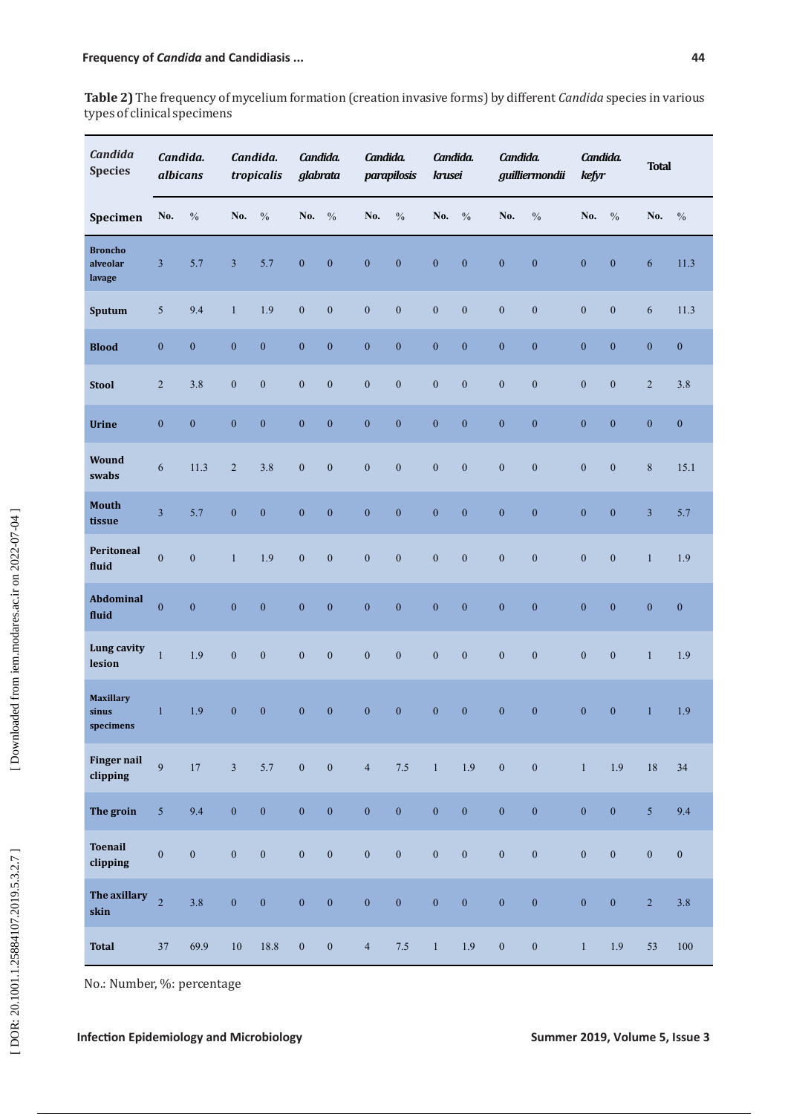**Table 2)** The frequency of mycelium formation (creation invasive forms) by different *Candida* species in various types of clinical specimens

| <b>Candida</b><br><b>Species</b>               | Candida.<br>albicans    |                  | Candida.<br>tropicalis |                  | Candida.<br>glabrata |                  | Candida.<br>parapilosis |                  |                  | Candida.<br>krusei |                  | Candida.<br>guilliermondii |                  | Candida.<br>kefyr |                  | <b>Total</b>     |  |
|------------------------------------------------|-------------------------|------------------|------------------------|------------------|----------------------|------------------|-------------------------|------------------|------------------|--------------------|------------------|----------------------------|------------------|-------------------|------------------|------------------|--|
| Specimen                                       | No.                     | $\frac{0}{0}$    | No.                    | $\frac{0}{0}$    | No.                  | $\frac{0}{0}$    | No.                     | $\frac{0}{0}$    | No.              | $\frac{0}{0}$      | No.              | $\frac{0}{0}$              | No.              | $\frac{0}{0}$     | No.              | $\frac{0}{0}$    |  |
| <b>Broncho</b><br>alveolar<br>lavage           | 3                       | 5.7              | $\overline{3}$         | 5.7              | $\boldsymbol{0}$     | $\mathbf{0}$     | $\boldsymbol{0}$        | $\overline{0}$   | $\mathbf{0}$     | $\boldsymbol{0}$   | $\boldsymbol{0}$ | $\mathbf{0}$               | $\mathbf{0}$     | $\boldsymbol{0}$  | 6                | 11.3             |  |
| Sputum                                         | $\sqrt{5}$              | 9.4              | $\mathbf{1}$           | 1.9              | $\boldsymbol{0}$     | $\boldsymbol{0}$ | $\boldsymbol{0}$        | $\boldsymbol{0}$ | $\boldsymbol{0}$ | $\boldsymbol{0}$   | $\mathbf{0}$     | $\boldsymbol{0}$           | $\boldsymbol{0}$ | $\boldsymbol{0}$  | 6                | 11.3             |  |
| <b>Blood</b>                                   | $\boldsymbol{0}$        | $\boldsymbol{0}$ | $\boldsymbol{0}$       | $\boldsymbol{0}$ | $\boldsymbol{0}$     | $\boldsymbol{0}$ | $\boldsymbol{0}$        | $\boldsymbol{0}$ | $\boldsymbol{0}$ | $\boldsymbol{0}$   | $\boldsymbol{0}$ | $\boldsymbol{0}$           | $\boldsymbol{0}$ | $\mathbf{0}$      | $\boldsymbol{0}$ | $\boldsymbol{0}$ |  |
| <b>Stool</b>                                   | $\sqrt{2}$              | 3.8              | $\boldsymbol{0}$       | $\mathbf{0}$     | $\boldsymbol{0}$     | $\mathbf{0}$     | $\mathbf{0}$            | $\boldsymbol{0}$ | $\boldsymbol{0}$ | $\mathbf{0}$       | $\boldsymbol{0}$ | $\boldsymbol{0}$           | $\mathbf{0}$     | $\boldsymbol{0}$  | $\overline{2}$   | 3.8              |  |
| <b>Urine</b>                                   | $\boldsymbol{0}$        | $\mathbf{0}$     | $\mathbf{0}$           | $\boldsymbol{0}$ | $\boldsymbol{0}$     | $\mathbf{0}$     | $\mathbf{0}$            | $\overline{0}$   | $\boldsymbol{0}$ | $\mathbf{0}$       | $\mathbf{0}$     | $\mathbf{0}$               | $\boldsymbol{0}$ | $\mathbf{0}$      | $\boldsymbol{0}$ | $\boldsymbol{0}$ |  |
| <b>Wound</b><br>swabs                          | 6                       | 11.3             | 2                      | 3.8              | $\boldsymbol{0}$     | $\boldsymbol{0}$ | $\mathbf{0}$            | $\mathbf{0}$     | $\boldsymbol{0}$ | $\mathbf{0}$       | $\mathbf{0}$     | $\boldsymbol{0}$           | $\boldsymbol{0}$ | $\mathbf{0}$      | 8                | 15.1             |  |
| Mouth<br>tissue                                | $\overline{\mathbf{3}}$ | 5.7              | $\mathbf{0}$           | $\boldsymbol{0}$ | $\boldsymbol{0}$     | $\boldsymbol{0}$ | $\boldsymbol{0}$        | $\overline{0}$   | $\boldsymbol{0}$ | $\boldsymbol{0}$   | $\boldsymbol{0}$ | $\mathbf{0}$               | $\boldsymbol{0}$ | $\mathbf{0}$      | $\mathfrak{Z}$   | 5.7              |  |
| Peritoneal<br>fluid                            | $\mathbf{0}$            | $\boldsymbol{0}$ | $\mathbf{1}$           | 1.9              | $\mathbf{0}$         | $\boldsymbol{0}$ | $\mathbf{0}$            | $\mathbf{0}$     | $\boldsymbol{0}$ | $\mathbf{0}$       | $\boldsymbol{0}$ | $\mathbf{0}$               | $\boldsymbol{0}$ | $\boldsymbol{0}$  | $\mathbf{1}$     | 1.9              |  |
| Abdominal<br>fluid                             | $\overline{0}$          | $\overline{0}$   | $\overline{0}$         | $\mathbf{0}$     | $\boldsymbol{0}$     | $\mathbf{0}$     | $\mathbf{0}$            | $\mathbf{0}$     | $\mathbf{0}$     | $\mathbf{0}$       | $\mathbf{0}$     | $\overline{0}$             | $\mathbf{0}$     | $\overline{0}$    | $\boldsymbol{0}$ | $\boldsymbol{0}$ |  |
| Lung cavity<br>lesion                          | $\mathbf{1}$            | 1.9              | $\boldsymbol{0}$       | $\mathbf{0}$     | $\boldsymbol{0}$     | $\mathbf{0}$     | $\boldsymbol{0}$        | $\boldsymbol{0}$ | $\mathbf{0}$     | $\boldsymbol{0}$   | $\mathbf{0}$     | $\mathbf{0}$               | $\boldsymbol{0}$ | $\boldsymbol{0}$  | $\mathbf{1}$     | 1.9              |  |
| <b>Maxillary</b><br>sinus<br>${\rm specimens}$ | $\mathbf{1}$            | 1.9              | $\mathbf{0}$           | $\boldsymbol{0}$ | $\boldsymbol{0}$     | $\boldsymbol{0}$ | $\boldsymbol{0}$        | $\overline{0}$   | $\mathbf{0}$     | $\boldsymbol{0}$   | $\mathbf{0}$     | $\mathbf{0}$               | $\mathbf{0}$     | $\mathbf{0}$      | $\mathbf{1}$     | 1.9              |  |
| <b>Finger nail</b><br>clipping                 | $\overline{9}$          | $17\,$           | 3 <sup>7</sup>         | 5.7              | $\boldsymbol{0}$     | $\boldsymbol{0}$ | $\overline{4}$          | $7.5$            | $\mathbf{1}$     | 1.9                | $\boldsymbol{0}$ | $\boldsymbol{0}$           | $\bar{1}$        | 1.9               | $18\,$           | 34               |  |
| The groin                                      | $\mathfrak{S}$          | 9.4              | $\overline{0}$         | $\boldsymbol{0}$ | $\overline{0}$       | $\boldsymbol{0}$ | $\boldsymbol{0}$        | $\boldsymbol{0}$ | $\boldsymbol{0}$ | $\overline{0}$     | $\mathbf{0}$     | $\mathbf{0}$               | $\boldsymbol{0}$ | $\mathbf{0}$      | $\overline{5}$   | 9.4              |  |
| <b>Toenail</b><br>clipping                     | $\boldsymbol{0}$        | $\mathbf{0}$     | $\boldsymbol{0}$       | $\boldsymbol{0}$ | $\boldsymbol{0}$     | $\boldsymbol{0}$ | $\boldsymbol{0}$        | $\boldsymbol{0}$ | $\boldsymbol{0}$ | $\boldsymbol{0}$   | $\boldsymbol{0}$ | $\boldsymbol{0}$           | $\boldsymbol{0}$ | $\boldsymbol{0}$  | $\boldsymbol{0}$ | $\boldsymbol{0}$ |  |
| The axillary<br>skin                           | $\overline{2}$          | 3.8              | $\mathbf{0}$           | $\boldsymbol{0}$ | $\boldsymbol{0}$     | $\boldsymbol{0}$ | $\boldsymbol{0}$        | $\boldsymbol{0}$ | $\boldsymbol{0}$ | $\bf{0}$           | $\boldsymbol{0}$ | $\boldsymbol{0}$           | $\boldsymbol{0}$ | $\boldsymbol{0}$  | $\overline{2}$   | 3.8              |  |
| <b>Total</b>                                   | 37                      | 69.9             | $10\,$                 | 18.8             | $\boldsymbol{0}$     | $\boldsymbol{0}$ | $\overline{4}$          | $7.5\,$          | $\mathbf{1}$     | 1.9                | $\boldsymbol{0}$ | $\boldsymbol{0}$           | $\,1\,$          | 1.9               | 53               | $100\,$          |  |

No.: Number, %: percentage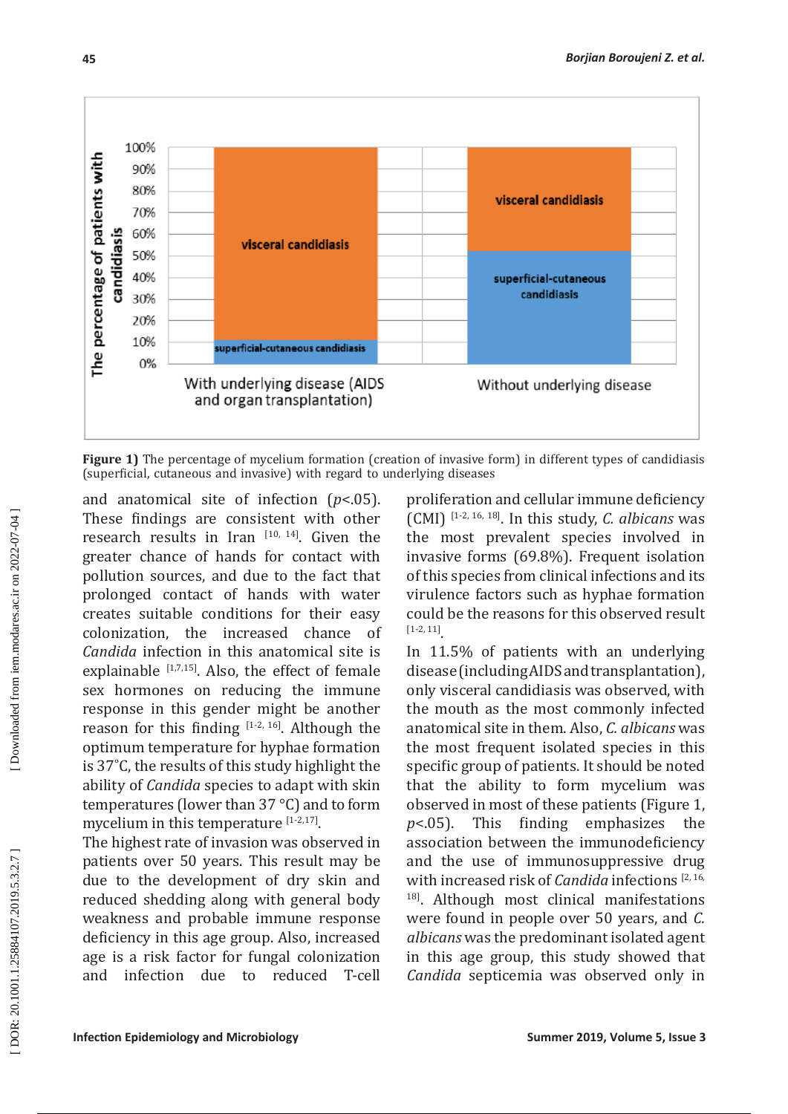

**Figure 1)** The percentage of mycelium formation (creation of invasive form) in different types of candidiasis (superficial, cutaneous and invasive) with regard to underlying diseases

and anatomical site of infection ( *p*<.05). These findings are consistent with other research results in Iran  $[10, 14]$ . Given the greater chance of hands for contact with pollution sources, and due to the fact that prolonged contact of hands with water creates suitable conditions for their easy<br>colonization, the increased chance of colonization, the increased chance *Candida* infection in this anatomical site is explainable  $[1,7,15]$ . Also, the effect of female sex hormones on reducing the immune response in this gender might be another reason for this finding  $[1-2, 16]$ . Although the optimum temperature for hyphae formation is 37˚C, the results of this study highlight the ability of *Candida* species to adapt with skin temperatures (lower than 37 °C) and to form mycelium in this temperature  $[1-2,17]$ .

The highest rate of invasion was observed in patients over 50 years. This result may be due to the development of dry skin and reduced shedding along with general body weakness and probable immune response deficiency in this age group. Also, increased age is a risk factor for fungal colonization<br>and infection due to reduced T-cell infection due to reduced T-cell

proliferation and cellular immune deficiency (CMI) [1-2, 16, 18]. In this study, *C. albicans* was the most prevalent species involved in invasive forms (69.8%). Frequent isolation of this species from clinical infections and its virulence factors such as hyphae formation could be the reasons for this observed result [1-2, 11] .

In 11.5% of patients with an underlying disease (including AIDS and transplantation), only visceral candidiasis was observed, with the mouth as the most commonly infected anatomical site in them. Also, *C. albicans* was the most frequent isolated species in this specific group of patients. It should be noted that the ability to form mycelium was observed in most of these patients (Figure 1, *p*<.05). This finding emphasizes the association between the immunodeficiency and the use of immunosuppressive drug with increased risk of *Candida* infections [2, 16, <sup>18]</sup>. Although most clinical manifestations were found in people over 50 years, and *C. albicans* was the predominant isolated agent in this age group, this study showed that *Candida* septicemia was observed only in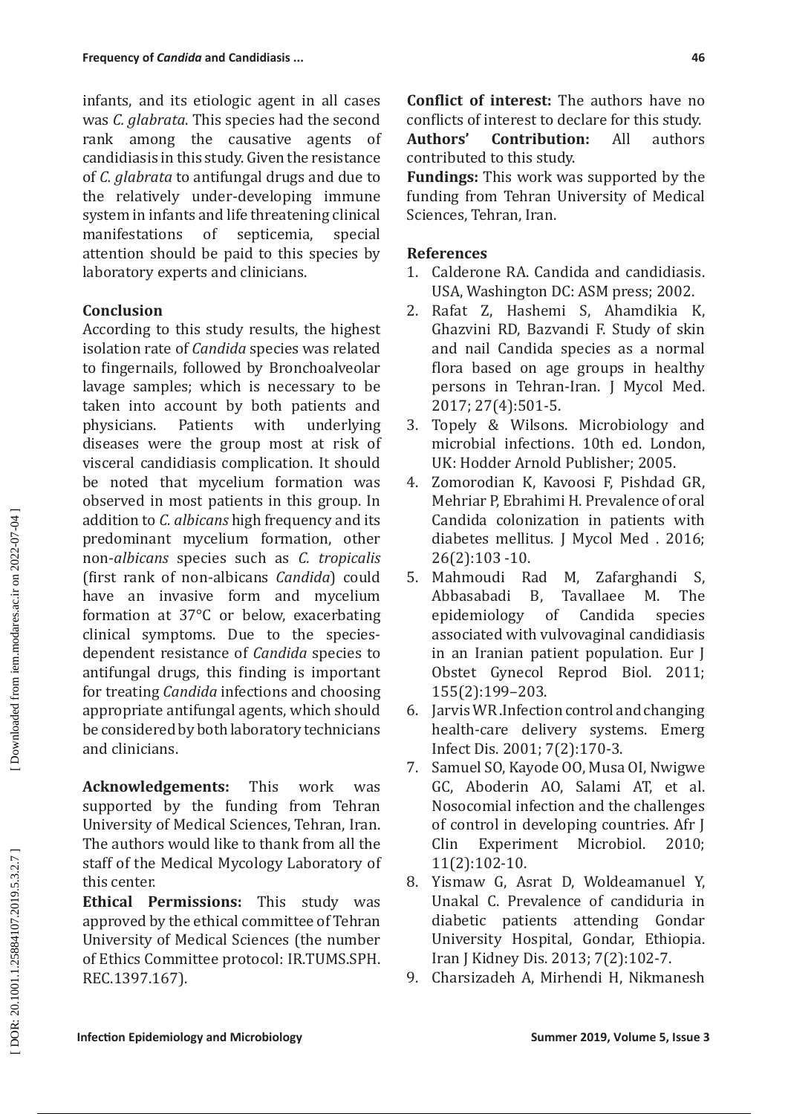infants, and its etiologic agent in all cases was *C. glabrata*. This species had the second rank among the causative agents of candidiasis in this study. Given the resistance of *C. glabrata* to antifungal drugs and due to the relatively under-developing immune system in infants and life threatening clinical<br>manifestations of septicemia, special manifestations attention should be paid to this species by laboratory experts and clinicians.

## **Conclusion**

According to this study results, the highest isolation rate of *Candida* species was related to fingernails, followed by Bronchoalveolar lavage samples; which is necessary to be taken into account by both patients and<br>physicians. Patients with underlying underlying diseases were the group most at risk of visceral candidiasis complication. It should be noted that mycelium formation was observed in most patients in this group. In addition to *C. albicans* high frequency and its predominant mycelium formation, other non-*albicans* species such as *C. tropicalis*  (first rank of non-albicans *Candida*) could have an invasive form and mycelium formation at 37 °C or below, exacerbating clinical symptoms. Due to the speciesdependent resistance of *Candida* species to antifungal drugs, this finding is important for treating *Candida* infections and choosing appropriate antifungal agents, which should be considered by both laboratory technicians and clinicians.

**Acknowledgements:** This work was supported by the funding from Tehran University of Medical Sciences, Tehran, Iran. The authors would like to thank from all the staff of the Medical Mycology Laboratory of this center.

**Ethical Permissions:** This study was approved by the ethical committee of Tehran University of Medical Sciences (the number of Ethics Committee protocol: IR.TUMS.SPH. REC.1397.167).

**Conflict of interest:** The authors have no conflicts of interest to declare for this study.<br> **Authors' Contribution:** All authors **Contribution:** contributed to this study.

**Fundings:** This work was supported by the funding from Tehran University of Medical Sciences, Tehran, Iran.

## **References**

- 1. Calderone RA. Candida and candidiasis. USA, Washington DC: ASM press; 2002.
- 2. Rafat Z, Hashemi S, Ahamdikia K, Ghazvini RD, Bazvandi F. Study of skin and nail Candida species as a normal flora based on age groups in healthy persons in Tehran-Iran. J Mycol Med. 2017; 27(4):501-5.
- 3. Topely & Wilsons. Microbiology and microbial infections. 10th ed. London, UK: Hodder Arnold Publisher; 2005.
- 4. Zomorodian K, Kavoosi F, Pishdad GR, Mehriar P, Ebrahimi H. Prevalence of oral Candida colonization in patients with diabetes mellitus. J Mycol Med . 2016; 26(2):103 -10.
- 5. Mahmoudi Rad M, Zafarghandi S, Abbasabadi B, Tavallaee M. The epidemiology associated with vulvovaginal candidiasis in an Iranian patient population. Eur J Obstet Gynecol Reprod Biol. 2011; 155(2):199–203.
- 6. Jarvis WR .Infection control and changing health-care delivery systems. Emerg Infect Dis. 2001; 7(2):170-3.
- 7. Samuel SO, Kayode OO, Musa OI, Nwigwe GC, Aboderin AO, Salami AT, et al. Nosocomial infection and the challenges of control in developing countries. Afr J<br>Clin Experiment Microbiol. 2010; Clin Experiment Microbiol. 2010; 11(2):102-10.
- 8. Yismaw G, Asrat D, Woldeamanuel Y, Unakal C. Prevalence of candiduria in diabetic patients attending Gondar University Hospital, Gondar, Ethiopia. Iran J Kidney Dis. 2013; 7(2):102-7.
- 9. Charsizadeh A, Mirhendi H, Nikmanesh